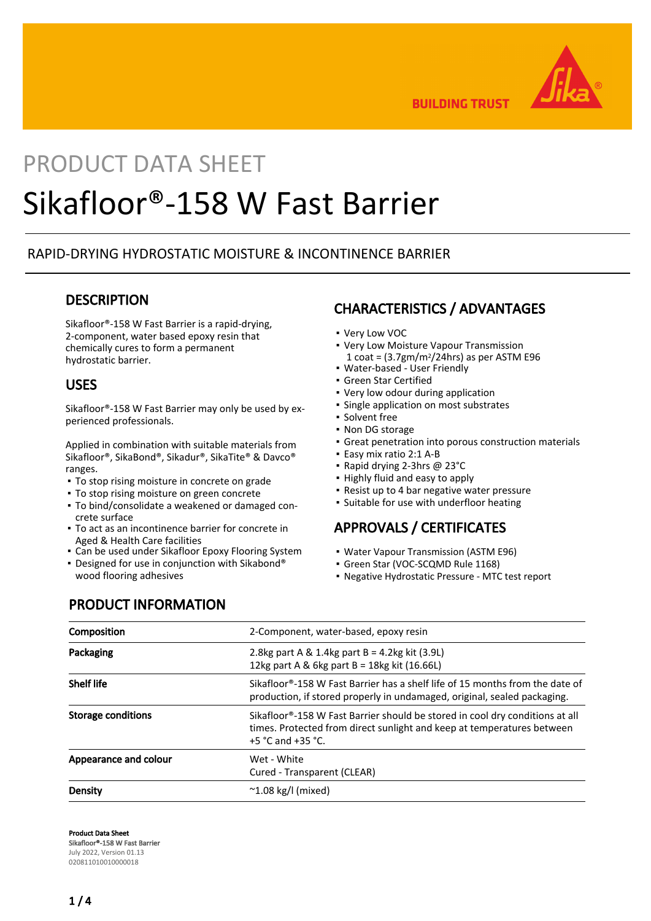

**BUILDING TRUST** 

# PRODUCT DATA SHEET Sikafloor®-158 W Fast Barrier

# RAPID-DRYING HYDROSTATIC MOISTURE & INCONTINENCE BARRIER

# **DESCRIPTION**

Sikafloor®-158 W Fast Barrier is a rapid-drying, 2-component, water based epoxy resin that chemically cures to form a permanent hydrostatic barrier.

## USES

Sikafloor®-158 W Fast Barrier may only be used by experienced professionals.

Applied in combination with suitable materials from Sikafloor®, SikaBond®, Sikadur®, SikaTite® & Davco® ranges.

- To stop rising moisture in concrete on grade
- **To stop rising moisture on green concrete**
- To bind/consolidate a weakened or damaged con-▪ crete surface
- To act as an incontinence barrier for concrete in Aged & Health Care facilities
- **Can be used under Sikafloor Epoxy Flooring System**
- Designed for use in conjunction with Sikabond® wood flooring adhesives

# CHARACTERISTICS / ADVANTAGES

- Very Low VOC
- Very Low Moisture Vapour Transmission  $1$  coat =  $(3.7gm/m<sup>2</sup>/24hrs)$  as per ASTM E96
- Water-based User Friendly
- Green Star Certified
- Very low odour during application
- Single application on most substrates
- Solvent free
- Non DG storage
- Great penetration into porous construction materials
- Easy mix ratio 2:1 A-B
- Rapid drying 2-3hrs @ 23°C
- Highly fluid and easy to apply
- Resist up to 4 bar negative water pressure
- Suitable for use with underfloor heating

# APPROVALS / CERTIFICATES

- Water Vapour Transmission (ASTM E96)
- Green Star (VOC-SCQMD Rule 1168)
- Negative Hydrostatic Pressure MTC test report

# PRODUCT INFORMATION

| Composition               | 2-Component, water-based, epoxy resin                                                                                                                                                           |  |
|---------------------------|-------------------------------------------------------------------------------------------------------------------------------------------------------------------------------------------------|--|
| Packaging                 | 2.8kg part A & 1.4kg part $B = 4.2$ kg kit (3.9L)<br>12kg part A & 6kg part B = 18kg kit $(16.66L)$                                                                                             |  |
| <b>Shelf life</b>         | Sikafloor®-158 W Fast Barrier has a shelf life of 15 months from the date of<br>production, if stored properly in undamaged, original, sealed packaging.                                        |  |
| <b>Storage conditions</b> | Sikafloor®-158 W Fast Barrier should be stored in cool dry conditions at all<br>times. Protected from direct sunlight and keep at temperatures between<br>+5 $^{\circ}$ C and +35 $^{\circ}$ C. |  |
| Appearance and colour     | Wet - White<br>Cured - Transparent (CLEAR)                                                                                                                                                      |  |
| Density                   | $\sim$ 1.08 kg/l (mixed)                                                                                                                                                                        |  |

Product Data Sheet

Sikafloor®-158 W Fast Barrier July 2022, Version 01.13 020811010010000018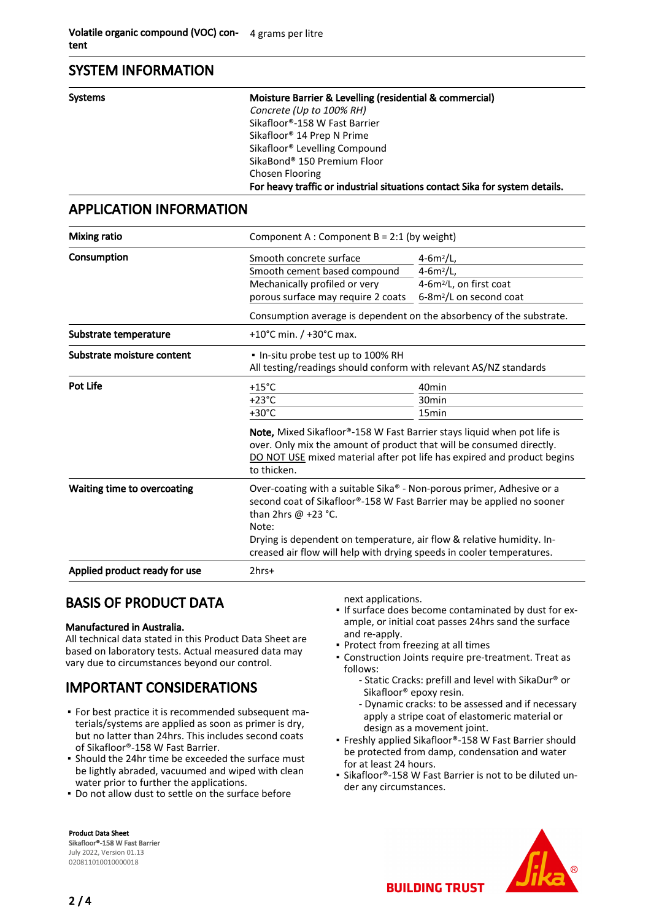## SYSTEM INFORMATION

| Systems | Moisture Barrier & Levelling (residential & commercial)                     |
|---------|-----------------------------------------------------------------------------|
|         | Concrete (Up to 100% RH)                                                    |
|         | Sikafloor®-158 W Fast Barrier                                               |
|         | Sikafloor <sup>®</sup> 14 Prep N Prime                                      |
|         | Sikafloor <sup>®</sup> Levelling Compound                                   |
|         | SikaBond <sup>®</sup> 150 Premium Floor                                     |
|         | Chosen Flooring                                                             |
|         | For heavy traffic or industrial situations contact Sika for system details. |

# APPLICATION INFORMATION

| <b>Mixing ratio</b>           | Component A : Component B = 2:1 (by weight)                                                                                                                                                                                                                                                                                             |                                                                                                               |  |
|-------------------------------|-----------------------------------------------------------------------------------------------------------------------------------------------------------------------------------------------------------------------------------------------------------------------------------------------------------------------------------------|---------------------------------------------------------------------------------------------------------------|--|
| Consumption                   | Smooth concrete surface<br>Smooth cement based compound<br>Mechanically profiled or very<br>porous surface may require 2 coats                                                                                                                                                                                                          | $4 - 6m^2/L$ ,<br>4-6 $m^2/L$ ,<br>4-6m <sup>2</sup> /L, on first coat<br>6-8m <sup>2</sup> /L on second coat |  |
|                               | Consumption average is dependent on the absorbency of the substrate.                                                                                                                                                                                                                                                                    |                                                                                                               |  |
| Substrate temperature         | +10°C min. $/$ +30°C max.                                                                                                                                                                                                                                                                                                               |                                                                                                               |  |
| Substrate moisture content    | . In-situ probe test up to 100% RH<br>All testing/readings should conform with relevant AS/NZ standards                                                                                                                                                                                                                                 |                                                                                                               |  |
| <b>Pot Life</b>               | $+15^{\circ}$ C                                                                                                                                                                                                                                                                                                                         | 40 <sub>min</sub>                                                                                             |  |
|                               | $+23^{\circ}$ C                                                                                                                                                                                                                                                                                                                         | 30 <sub>min</sub>                                                                                             |  |
|                               | $+30^{\circ}$ C                                                                                                                                                                                                                                                                                                                         | 15 <sub>min</sub>                                                                                             |  |
|                               | Note, Mixed Sikafloor®-158 W Fast Barrier stays liquid when pot life is<br>over. Only mix the amount of product that will be consumed directly.<br>DO NOT USE mixed material after pot life has expired and product begins<br>to thicken.                                                                                               |                                                                                                               |  |
| Waiting time to overcoating   | Over-coating with a suitable Sika® - Non-porous primer, Adhesive or a<br>second coat of Sikafloor®-158 W Fast Barrier may be applied no sooner<br>than 2hrs $\omega$ +23 °C.<br>Note:<br>Drying is dependent on temperature, air flow & relative humidity. In-<br>creased air flow will help with drying speeds in cooler temperatures. |                                                                                                               |  |
| Applied product ready for use | $2hrs+$                                                                                                                                                                                                                                                                                                                                 |                                                                                                               |  |

# BASIS OF PRODUCT DATA

#### Manufactured in Australia.

All technical data stated in this Product Data Sheet are based on laboratory tests. Actual measured data may vary due to circumstances beyond our control.

# IMPORTANT CONSIDERATIONS

- **For best practice it is recommended subsequent ma**terials/systems are applied as soon as primer is dry, but no latter than 24hrs. This includes second coats of Sikafloor®-158 W Fast Barrier.
- **•** Should the 24hr time be exceeded the surface must be lightly abraded, vacuumed and wiped with clean water prior to further the applications.
- Do not allow dust to settle on the surface before

Product Data Sheet Sikafloor®-158 W Fast Barrier July 2022, Version 01.13 020811010010000018

next applications.

- If surface does become contaminated by dust for example, or initial coat passes 24hrs sand the surface and re-apply.
- Protect from freezing at all times
- Construction Joints require pre-treatment. Treat as follows:
	- Static Cracks: prefill and level with SikaDur® or Sikafloor® epoxy resin.
	- Dynamic cracks: to be assessed and if necessary apply a stripe coat of elastomeric material or design as a movement joint.
- Freshly applied Sikafloor®-158 W Fast Barrier should be protected from damp, condensation and water for at least 24 hours.
- Sikafloor®-158 W Fast Barrier is not to be diluted un-▪ der any circumstances.



**BUILDING TRUST**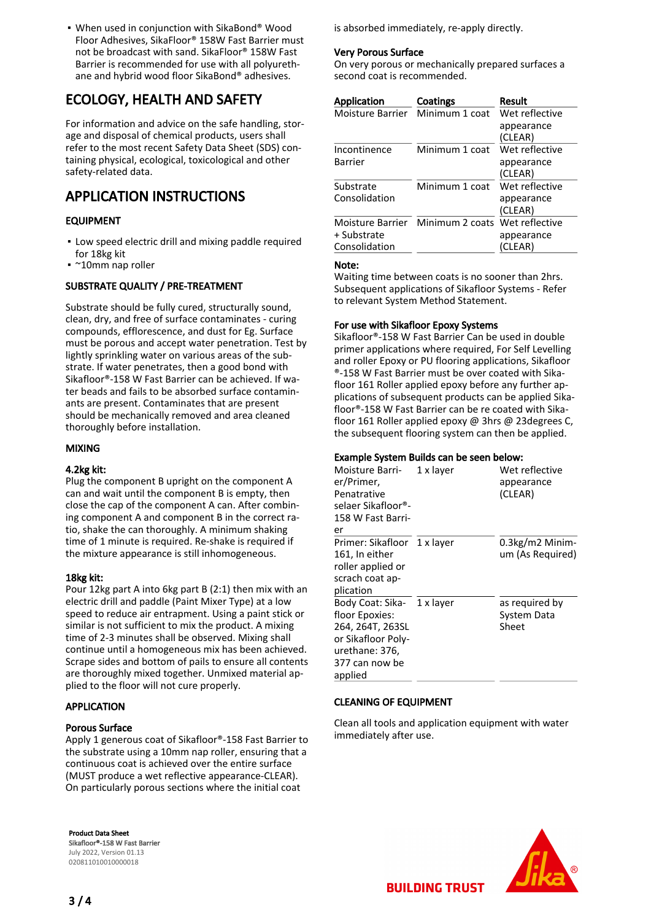When used in conjunction with SikaBond® Wood ▪ Floor Adhesives, SikaFloor® 158W Fast Barrier must not be broadcast with sand. SikaFloor® 158W Fast Barrier is recommended for use with all polyurethane and hybrid wood floor SikaBond® adhesives.

# ECOLOGY, HEALTH AND SAFETY

For information and advice on the safe handling, storage and disposal of chemical products, users shall refer to the most recent Safety Data Sheet (SDS) containing physical, ecological, toxicological and other safety-related data.

# APPLICATION INSTRUCTIONS

## EQUIPMENT

- **.** Low speed electric drill and mixing paddle required for 18kg kit
- ~10mm nap roller

## SUBSTRATE QUALITY / PRE-TREATMENT

Substrate should be fully cured, structurally sound, clean, dry, and free of surface contaminates - curing compounds, efflorescence, and dust for Eg. Surface must be porous and accept water penetration. Test by lightly sprinkling water on various areas of the substrate. If water penetrates, then a good bond with Sikafloor®-158 W Fast Barrier can be achieved. If water beads and fails to be absorbed surface contaminants are present. Contaminates that are present should be mechanically removed and area cleaned thoroughly before installation.

## MIXING

#### 4.2kg kit:

Plug the component B upright on the component A can and wait until the component B is empty, then close the cap of the component A can. After combining component A and component B in the correct ratio, shake the can thoroughly. A minimum shaking time of 1 minute is required. Re-shake is required if the mixture appearance is still inhomogeneous.

## 18kg kit:

Pour 12kg part A into 6kg part B (2:1) then mix with an electric drill and paddle (Paint Mixer Type) at a low speed to reduce air entrapment. Using a paint stick or similar is not sufficient to mix the product. A mixing time of 2-3 minutes shall be observed. Mixing shall continue until a homogeneous mix has been achieved. Scrape sides and bottom of pails to ensure all contents are thoroughly mixed together. Unmixed material applied to the floor will not cure properly.

## APPLICATION

## Porous Surface

Apply 1 generous coat of Sikafloor®-158 Fast Barrier to the substrate using a 10mm nap roller, ensuring that a continuous coat is achieved over the entire surface (MUST produce a wet reflective appearance-CLEAR). On particularly porous sections where the initial coat

Product Data Sheet Sikafloor®-158 W Fast Barrier July 2022, Version 01.13 020811010010000018

is absorbed immediately, re-apply directly.

#### Very Porous Surface

On very porous or mechanically prepared surfaces a second coat is recommended.

| <b>Application</b> | Coatings                                        | Result         |
|--------------------|-------------------------------------------------|----------------|
| Moisture Barrier   | Minimum 1 coat                                  | Wet reflective |
|                    |                                                 | appearance     |
|                    |                                                 | (CLEAR)        |
| Incontinence       | Minimum 1 coat                                  | Wet reflective |
| Barrier            |                                                 | appearance     |
|                    |                                                 | (CLEAR)        |
| Substrate          | Minimum 1 coat                                  | Wet reflective |
| Consolidation      |                                                 | appearance     |
|                    |                                                 | (CLEAR)        |
|                    | Moisture Barrier Minimum 2 coats Wet reflective |                |
| + Substrate        |                                                 | appearance     |
| Consolidation      |                                                 | (CLEAR)        |

#### Note:

Waiting time between coats is no sooner than 2hrs. Subsequent applications of Sikafloor Systems - Refer to relevant System Method Statement.

### For use with Sikafloor Epoxy Systems

Sikafloor®-158 W Fast Barrier Can be used in double primer applications where required, For Self Levelling and roller Epoxy or PU flooring applications, Sikafloor ®-158 W Fast Barrier must be over coated with Sikafloor 161 Roller applied epoxy before any further applications of subsequent products can be applied Sikafloor®-158 W Fast Barrier can be re coated with Sikafloor 161 Roller applied epoxy @ 3hrs @ 23degrees C, the subsequent flooring system can then be applied.

## Example System Builds can be seen below:

| Moisture Barri-<br>er/Primer,<br>Penatrative<br>selaer Sikafloor®-<br>158 W Fast Barri-<br>er                                         | 1 x layer | Wet reflective<br>appearance<br>(CLEAR) |
|---------------------------------------------------------------------------------------------------------------------------------------|-----------|-----------------------------------------|
| Primer: Sikafloor 1 x layer<br>161, In either<br>roller applied or<br>scrach coat ap-<br>plication                                    |           | $0.3$ kg/m2 Minim-<br>um (As Required)  |
| Body Coat: Sika- 1 x layer<br>floor Epoxies:<br>264, 264T, 263SL<br>or Sikafloor Poly-<br>urethane: 376,<br>377 can now be<br>applied |           | as required by<br>System Data<br>Sheet  |

## CLEANING OF EQUIPMENT

Clean all tools and application equipment with water immediately after use.



**BUILDING TRUST**